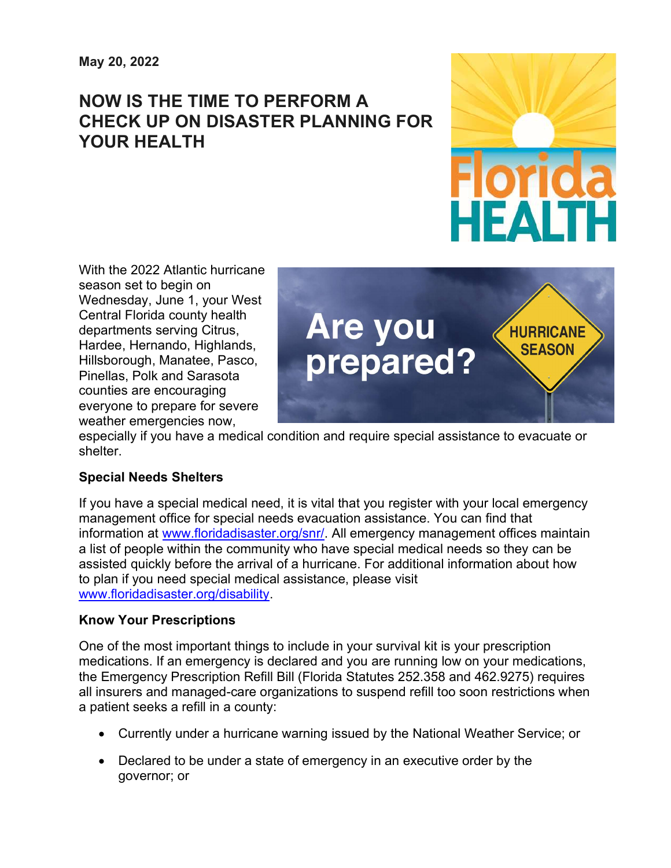# NOW IS THE TIME TO PERFORM A CHECK UP ON DISASTER PLANNING FOR YOUR HEALTH



With the 2022 Atlantic hurricane season set to begin on Wednesday, June 1, your West Central Florida county health departments serving Citrus, Hardee, Hernando, Highlands, Hillsborough, Manatee, Pasco, Pinellas, Polk and Sarasota counties are encouraging everyone to prepare for severe weather emergencies now,



especially if you have a medical condition and require special assistance to evacuate or shelter.

## Special Needs Shelters

If you have a special medical need, it is vital that you register with your local emergency management office for special needs evacuation assistance. You can find that information at www.floridadisaster.org/snr/. All emergency management offices maintain a list of people within the community who have special medical needs so they can be assisted quickly before the arrival of a hurricane. For additional information about how to plan if you need special medical assistance, please visit www.floridadisaster.org/disability.

## Know Your Prescriptions

One of the most important things to include in your survival kit is your prescription medications. If an emergency is declared and you are running low on your medications, the Emergency Prescription Refill Bill (Florida Statutes 252.358 and 462.9275) requires all insurers and managed-care organizations to suspend refill too soon restrictions when a patient seeks a refill in a county:

- Currently under a hurricane warning issued by the National Weather Service; or
- Declared to be under a state of emergency in an executive order by the governor; or